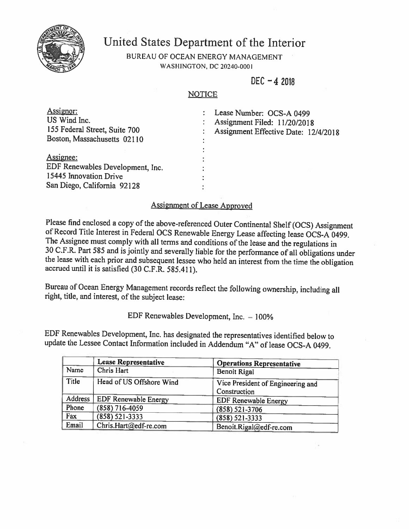

## United States Department of the Interior

BUREAU OF OCEAN ENERGY MANAGEMENT **WASHINGTON, DC 20240-0001** 

 $DEC - 42018$ 

## **NOTICE**

| Assignor:<br>US Wind Inc.<br>155 Federal Street, Suite 700<br>Boston, Massachusetts 02110              | Lease Number: OCS-A 0499<br>Assignment Filed: 11/20/2018<br>Assignment Effective Date: 12/4/2018 |
|--------------------------------------------------------------------------------------------------------|--------------------------------------------------------------------------------------------------|
| Assignee:<br>EDF Renewables Development, Inc.<br>15445 Innovation Drive<br>San Diego, California 92128 |                                                                                                  |

## **Assignment of Lease Approved**

Please find enclosed a copy of the above-referenced Outer Continental Shelf (OCS) Assignment of Record Title Interest in Federal OCS Renewable Energy Lease affecting lease OCS-A 0499. The Assignee must comply with all terms and conditions of the lease and the regulations in 30 C.F.R. Part 585 and is jointly and severally liable for the performance of all obligations under the lease with each prior and subsequent lessee who held an interest from the time the obligation accrued until it is satisfied (30 C.F.R. 585.411).

Bureau of Ocean Energy Management records reflect the following ownership, including all right, title, and interest, of the subject lease:

EDF Renewables Development, Inc.  $-100\%$ 

EDF Renewables Development, Inc. has designated the representatives identified below to update the Lessee Contact Information included in Addendum "A" of lease OCS-A 0499.

|         | <b>Lease Representative</b> | <b>Operations Representative</b>                  |
|---------|-----------------------------|---------------------------------------------------|
| Name    | Chris Hart                  | <b>Benoit Rigal</b>                               |
| Title   | Head of US Offshore Wind    | Vice President of Engineering and<br>Construction |
| Address | <b>EDF Renewable Energy</b> | <b>EDF Renewable Energy</b>                       |
| Phone   | (858) 716-4059              | $(858) 521 - 3706$                                |
| Fax     | $(858) 521 - 3333$          | $(858) 521 - 3333$                                |
| Email   | Chris.Hart@edf-re.com       | Benoit.Rigal@edf-re.com                           |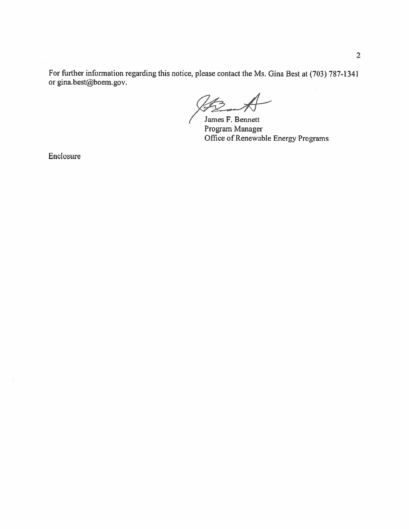For further information regarding this notice, please contact the Ms. Gina Best at (703) 787-1341 or gina.best@boem.gov.

James F. Bennett Program Manager Office of Renewable Energy Programs

Enclosure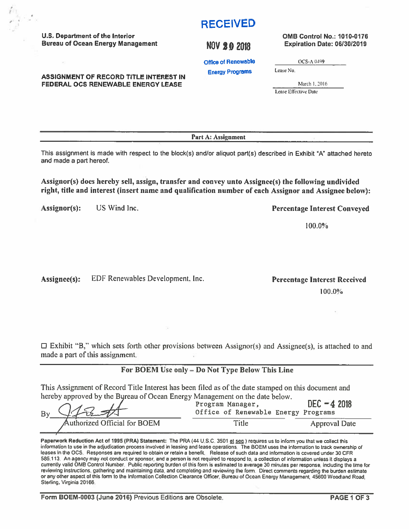Form BOEM-0003 (June 2016) Previous Editions are Obsolete.

# **RECEIVED**

## NOV 2 0 2018

**Office of Renewable** 

**Energy Programs** 

March 1, 2016

OCS-A 0499

Lease Effective Date

Lease No.

Part A: Assignment

This assignment is made with respect to the block(s) and/or aliquot part(s) described in Exhibit "A" attached hereto and made a part hereof.

Assignor(s) does hereby sell, assign, transfer and convey unto Assignee(s) the following undivided right, title and interest (insert name and qualification number of each Assignor and Assignee below):

Assignor(s): US Wind Inc.

U.S. Department of the Interior

 $\sim$ 

**Bureau of Ocean Energy Management** 

**ASSIGNMENT OF RECORD TITLE INTEREST IN** FEDERAL OCS RENEWABLE ENERGY LEASE

Assignee(s): EDF Renewables Development, Inc.

100.0%

**Percentage Interest Received** 

**Percentage Interest Conveyed** 

100.0%

 $\Box$  Exhibit "B," which sets forth other provisions between Assignor(s) and Assignee(s), is attached to and made a part of this assignment.

## For BOEM Use only - Do Not Type Below This Line

This Assignment of Record Title Interest has been filed as of the date stamped on this document and hereby approved by the Bureau of Ocean Energy Management on the date below.

| By CIRSA                     | Program Manager,<br>Office of Renewable Energy Programs | $DEC - 42018$        |  |
|------------------------------|---------------------------------------------------------|----------------------|--|
| Authorized Official for BOEM | Title                                                   | <b>Approval Date</b> |  |

Paperwork Reduction Act of 1995 (PRA) Statement: The PRA (44 U.S.C. 3501 et seq.) requires us to inform you that we collect this information to use in the adjudication process involved in leasing and tease operations. The BOEM uses the information to track ownership of leases in the OCS. Responses are required to obtain or retain a benefit. Release of such data and information is covered under 30 CFR 585.113. An agency may not conduct or sponsor, and a person is not required to respond to, a collection of information unless it displays a currently valid OMB Control Number. Public reporting burden of this form is estimated to average 30 minutes per response, including the time for reviewing instructions, gathering and maintaining data, and completing and reviewing the form. Direct comments regarding the burden estimate or any other aspect of this form to the Information Collection Clearance Officer, Bureau of Ocean Energy Management, 45600 Woodland Road, Sterling, Virginia 20166.

PAGE 1 OF 3

## **OMB Control No.: 1010-0176** Expiration Date: 06/30/2019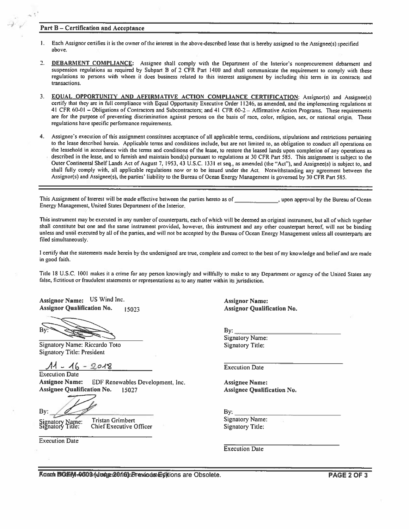#### **Part B-Certification and Acceptance**

- Each Assignor certifies it is the owner of the interest in the above-described lease that is hereby assigned to the Assignee(s) specified  $\mathbf{1}$ . above.
- DEBARMENT COMPLIANCE: Assignee shall comply with the Department of the Interior's nonprocurement debarment and  $2<sub>1</sub>$ suspension regulations as required by Subpart B of 2 CFR Part 1400 and shall communicate the requirement to comply with these regulations to persons with whom it does business related to this interest assignment by including this term in its contracts and transactions.
- 3. EQUAL\_OPPORTUNITY AND AFFIRMATIVE ACTION COMPLIANCE CERTIFICATION: Assignor(s) and Assignee(s) certify that they are in full compliance with Equal Opportunity Executive Order 11246, as amended, and the implementing regulations at 41 CFR 60-01 - Obligations of Contractors and Subcontractors; and 41 CFR 60-2 - Affirmative Action Programs. These requirements are for the purpose of preventing discrimination against persons on the basis of race, color, religion, sex, or national origin. These regulations have specific performance requirements.
- 4. Assignee's execution of this assignment constitutes acceptance of all applicable terms, conditions, stipulations and restrictions pertaining to the lease described herein. Applicable terms and conditions include, but are not limited to, an obligation to conduct all operations on the leasehold in accordance with the terms and conditions of the lease, to restore the leased lands upon completion of any operations as described in the lease, and to furnish and maintain bond(s) pursuant to regulations at 30 CFR Part 585. This assignment is subject to the Outer Continental Shelf Lands Act of August 7, 1953, 43 U.S.C. 1331 et seq., as amended (the "Act"), and Assignee(s) is subject to, and shall fully comply with, all applicable regulations now or to be issued under the Act. Notwithstanding any agreement between the Assignor(s) and Assignee(s), the parties' liability to the Bureau of Ocean Energy Management is governed by 30 CFR Part 585.

This Assignment of Interest will be made effective between the parties hereto as of \_\_\_\_\_\_\_\_\_\_\_\_\_\_, upon approval by the Bureau of Ocean Energy Management, United States Department of the Interior.

This instrument may be executed in any number of counterparts, each of which will be deemed an original instrument, but all of which together shall constitute but one and the same instrument provided, however, this instrument and any other counterpart hereof, will not be binding unless and until executed by all of the parties, and will not be accepted by the Bureau of Ocean Energy Management unless all counterparts are filed simultaneously.

I certify that the statements made herein by the undersigned are true, complete and correct to the best of my knowledge and belief and are made in good faith.

Title 18 U.S.C. 1001 makes it a crime for any person knowingly and willfully to make to any Department or agency of the United States any false, fictitious or fraudulent statements or representations as to any matter within its jurisdiction.

Assignor Name: US Wind Inc. **Assignor Qualification No.** 15023

**Signatory Name: Riccardo Toto Signatory Title: President** 

 $11 - 16 - 2018$ 

**Execution Date Assignee Name: EDF Renewables Development, Inc. Assignee Qualification No.** 15027

By:

Signatory Name<br>Signatory Title:  $\mathbf{m}$ e:

**Tristan Grimbert Chief Executive Officer** 

**Execution Date** 

**Assignor Name: Assignor Qualification No.** 

 $By:$ **Signatory Name: Signatory Title:** 

**Execution Date** 

**Assignee Name: Assignee Qualification No.** 

 $By:$ 

Signatory Name: **Signatory Title:** 

**Execution Date** 

Rannh BOEM-0803 (Judge 2016) Brevaods Editions are Obsolete.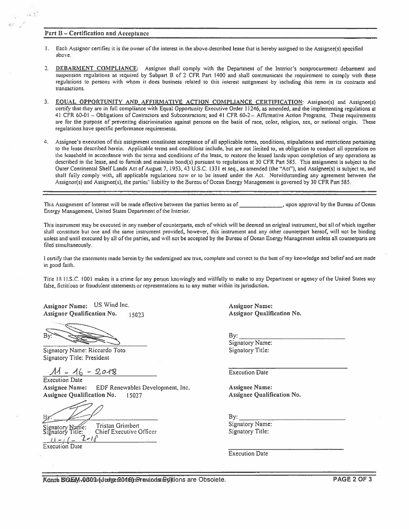### Part B - Certification and Acceptance

 $-1.1$ 

أترفو

- Each Assignor certifies it is the owner of the interest in the above-described lease that is hereby assigned to the Assignee(s) specified 1. above.
- $2 -$ DEBARMENT COMPLIANCE: Assignee shall comply with the Department of the Interior's nonprocurement debarment and suspension regulations as required by Subpart B of 2 CFR Part 1400 and shall communicate the requirement to comply with these regulations to persons with whom it does business related to this interest assignment by including this term in its contracts and transactions.
- 3. EQUAL OPPORTUNITY AND AFFIRMATIVE ACTION COMPLIANCE CERTIFICATION: Assignor(s) and Assignee(s) certify that they are in full compliance with Equal Opportunity Executive Order 11246, as amended, and the implementing regulations at 41 CFR 60-01 - Obligations of Contractors and Subcontractors; and 41 CFR 60-2 - Affirmative Action Programs. These requirements are for the purpose of preventing discrimination against persons on the basis of race, color, religion, sex, or national origin. These regulations have specific performance requirements.
- 4. Assignee's execution of this assignment constitutes acceptance of all applicable terms, conditions, stipulations and restrictions pertaining to the lease described herein. Applicable terms and conditions include, but are not limited to, an obligation to conduct all operations on the leasehold in accordance with the terms and conditions of the lease, to restore the leased lands upon completion of any operations as described in the lease, and to furnish and maintain bond(s) pursuant to regulations at 30 CFR Part 585. This assignment is subject to the Outer Continental Shelf Lands Act of August 7, 1953, 43 U.S.C. 1331 et seq., as amended (the "Act"), and Assignee(s) is subject to, and shall fully comply with, all applicable regulations now or to be issued under the Act. Notwithstanding any agreement between the Assignor(s) and Assignee(s), the parties' liability to the Bureau of Ocean Energy Management is governed by 30 CFR Part 585.

This Assignment of Interest will be made effective between the parties hereto as of . upon approval by the Bureau of Ocean Energy Management, United States Department of the Interior.

This instrument may be executed in any number of counterparts, each of which will be deemed an original instrument, but all of which together shall constitute but one and the same instrument provided, however, this instrument and any other counterpart hereof, will not be binding unless and until executed by all of the parties, and will not be accepted by the Bureau of Ocean Energy Management unless all counterparts are filed simultaneously.

I certify that the statements made herein by the undersigned are true, complete and correct to the best of my knowledge and belief and are made in good faith.

Title 18 U.S.C. 1001 makes it a crime for any person knowingly and willfully to make to any Department or agency of the United States any false, fictitious or fraudulent statements or representations as to any matter within its jurisdiction.

Assignor Name: US Wind Inc. **Assignor Qualification No.** 15023

Bv

Signatory Name: Riccardo Toto Signatory Title: President

 $11 - 16 - 2018$ 

**Execution Date Assignee Name:** EDF Renewables Development, Inc. Assignee Qualification No. 15027

Signatory Name:<br>Signatory Title: **Tristan Grimbert Chief Executive Officer** 

**Execution** Date

**Assignor Name: Assignor Qualification No.** 

 $By:$ 

**Signatory Name:** Signatory Title:

**Execution Date** 

**Assignee Name: Assignee Qualification No.** 

 $By:$ 

**Signatory Name:** Signatory Title:

**Execution Date** 

Kannh EQEM-0000 (dume 2016) hPrevious digitions are Obsolete.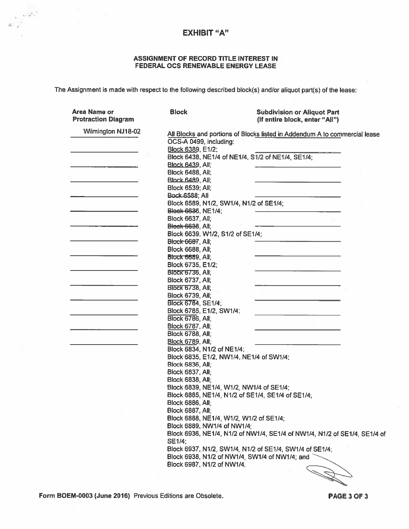## **EXHIBIT "A"**

 $\frac{1}{4\pi\left(\frac{1}{p}\right)^{2}}\left(\frac{1}{p}\right)^{\frac{1}{2}}$ 

## ASSIGNMENT OF RECORD TITLE INTEREST IN FEDERAL OCS RENEWABLE ENERGY LEASE

The Assignment is made with respect to the following described block(s) and/or aliquot part(s) of the lease:

| Area Name or<br><b>Protraction Diagram</b> | <b>Block</b>                     | <b>Subdivision or Aliquot Part</b><br>(If entire block, enter "All")       |
|--------------------------------------------|----------------------------------|----------------------------------------------------------------------------|
| Wilmington NJ18-02                         |                                  | All Blocks and portions of Blocks listed in Addendum A to commercial lease |
|                                            |                                  |                                                                            |
|                                            | OCS-A 0499, including:           |                                                                            |
|                                            | Block 6389, E1/2;                |                                                                            |
|                                            |                                  | Block 6438, NE1/4 of NE1/4, S1/2 of NE1/4, SE1/4;                          |
|                                            | <b>Block 6439, All;</b>          |                                                                            |
|                                            | <b>Block 6488, All:</b>          |                                                                            |
|                                            | <b>Block 6489, All;</b>          |                                                                            |
|                                            | <b>Block 6539; All;</b>          |                                                                            |
|                                            | Bock-6588; All                   |                                                                            |
|                                            |                                  | Block 6589, N1/2, SW1/4, N1/2 of SE1/4;                                    |
|                                            | <b>Block 6636, NE1/4;</b>        |                                                                            |
|                                            | <b>Block 6637, All;</b>          |                                                                            |
|                                            | <b>Block 6638, All,</b>          |                                                                            |
|                                            | Block 6639, W1/2, S1/2 of SE1/4; |                                                                            |
|                                            | <b>Block 6687, All;</b>          |                                                                            |
|                                            | <b>Block 6688, All,</b>          |                                                                            |
|                                            | <b>Block 6689, All;</b>          |                                                                            |
|                                            | Block 6735, E1/2;                |                                                                            |
|                                            | BIOCK 6736, All:                 |                                                                            |
|                                            | <b>Block 6737, All:</b>          |                                                                            |
|                                            | <b>Block 6738, All;</b>          |                                                                            |
|                                            | <b>Block 6739, All;</b>          |                                                                            |
|                                            | <b>Block 6784, SE1/4;</b>        |                                                                            |
|                                            |                                  |                                                                            |
|                                            | Block 6785, E1/2, SW1/4;         |                                                                            |
|                                            | <b>Block 6786, All;</b>          |                                                                            |
|                                            | <b>Block 6787, All;</b>          |                                                                            |
|                                            | <b>Block 6788, All;</b>          |                                                                            |
|                                            | <b>Block 6789, All;</b>          |                                                                            |
|                                            | Block 6834, N1/2 of NE1/4;       |                                                                            |
|                                            |                                  | Block 6835, E1/2, NW1/4, NE1/4 of SW1/4;                                   |
|                                            | <b>Block 6836, All;</b>          |                                                                            |
|                                            | <b>Block 6837, All;</b>          |                                                                            |
|                                            | <b>Block 6838, All;</b>          |                                                                            |
|                                            |                                  | Block 6839, NE1/4, W1/2, NW1/4 of SE1/4;                                   |
|                                            |                                  | Block 6885, NE1/4, N1/2 of SE1/4, SE1/4 of SE1/4;                          |
|                                            | <b>Block 6886, All:</b>          |                                                                            |
|                                            | <b>Block 6887, All:</b>          |                                                                            |
|                                            |                                  | Block 6888, NE1/4, W1/2, W1/2 of SE1/4;                                    |
|                                            | Block 6889, NW1/4 of NW1/4;      |                                                                            |
|                                            |                                  | Block 6936, NE1/4, N1/2 of NW1/4, SE1/4 of NW1/4, N1/2 of SE1/4, SE1/4 of  |
|                                            | SE1/4:                           |                                                                            |
|                                            |                                  | Block 6937, N1/2, SW1/4, N1/2 of SE1/4, SW1/4 of SE1/4;                    |
|                                            |                                  | Block 6938, N1/2 of NW1/4, SW1/4 of NW1/4; and                             |
|                                            | Block 6987, N1/2 of NW1/4.       |                                                                            |
|                                            |                                  |                                                                            |

Form BOEM-0003 (June 2016) Previous Editions are Obsolete.

PAGE 3 OF 3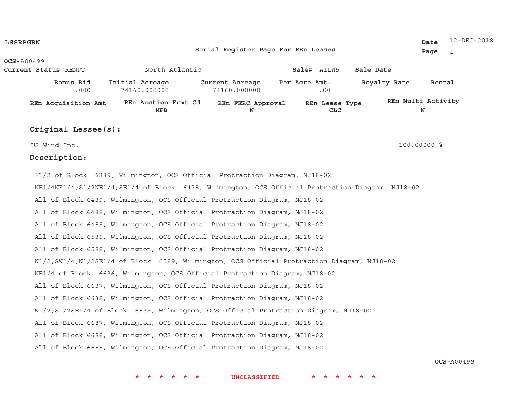| <b>LSSRPGRN</b> |                                                                                                   |                                                                                             |                                     |                              |              | 12-DEC-2018<br>Date     |
|-----------------|---------------------------------------------------------------------------------------------------|---------------------------------------------------------------------------------------------|-------------------------------------|------------------------------|--------------|-------------------------|
|                 |                                                                                                   |                                                                                             | Serial Register Page For REn Leases |                              |              | Page<br>$\mathbf{1}$    |
| OCS-A00499      |                                                                                                   |                                                                                             |                                     |                              |              |                         |
|                 | Current Status RENPT                                                                              | North Atlantic                                                                              |                                     | Sale# ATLW5                  | Sale Date    |                         |
|                 | Bonus Bid<br>.000                                                                                 | Initial Acreage<br>74160.000000                                                             | Current Acreage<br>74160.000000     | Per Acre Amt.<br>.00         | Royalty Rate | Rental                  |
|                 | REn Acquisition Amt                                                                               | REn Auction Frmt Cd<br><b>MFB</b>                                                           | REn FERC Approval<br>N              | REn Lease Type<br><b>CLC</b> |              | REn Multi Activity<br>N |
|                 | Original Lessee(s):                                                                               |                                                                                             |                                     |                              |              |                         |
|                 | US Wind Inc.                                                                                      |                                                                                             |                                     |                              |              | 100.00000 %             |
|                 | Description:                                                                                      |                                                                                             |                                     |                              |              |                         |
|                 |                                                                                                   | E1/2 of Block 6389, Wilmington, OCS Official Protraction Diagram, NJ18-02                   |                                     |                              |              |                         |
|                 | NE1/4NE1/4; S1/2NE1/4; SE1/4 of Block 6438, Wilmington, OCS Official Protraction Diagram, NJ18-02 |                                                                                             |                                     |                              |              |                         |
|                 |                                                                                                   | All of Block 6439, Wilmington, OCS Official Protraction Diagram, NJ18-02                    |                                     |                              |              |                         |
|                 |                                                                                                   | All of Block 6488, Wilmington, OCS Official Protraction Diagram, NJ18-02                    |                                     |                              |              |                         |
|                 |                                                                                                   | All of Block 6489, Wilmington, OCS Official Protraction Diagram, NJ18-02                    |                                     |                              |              |                         |
|                 |                                                                                                   | All of Block 6539, Wilmington, OCS Official Protraction Diagram, NJ18-02                    |                                     |                              |              |                         |
|                 |                                                                                                   | All of Block 6588, Wilmington, OCS Official Protraction Diagram, NJ18-02                    |                                     |                              |              |                         |
|                 |                                                                                                   | N1/2; SW1/4; N1/2SE1/4 of Block 6589, Wilmington, OCS Official Protraction Diagram, NJ18-02 |                                     |                              |              |                         |
|                 |                                                                                                   | NE1/4 of Block 6636, Wilmington, OCS Official Protraction Diagram, NJ18-02                  |                                     |                              |              |                         |

All of Block 6637, Wilmington, OCS Official Protraction Diagram, NJ18-02

All of Block 6638, Wilmington, OCS Official Protraction Diagram, NJ18-02

W1/2;S1/2SE1/4 of Block 6639, Wilmington, OCS Official Protraction Diagram, NJ18-02

All of Block 6687, Wilmington, OCS Official Protraction Diagram, NJ18-02

All of Block 6688, Wilmington, OCS Official Protraction Diagram, NJ18-02

All of Block 6689, Wilmington, OCS Official Protraction Diagram, NJ18-02

**OCS-**A00499

**\* \* \* \* \* \* UNCLASSIFIED \* \* \* \* \* \***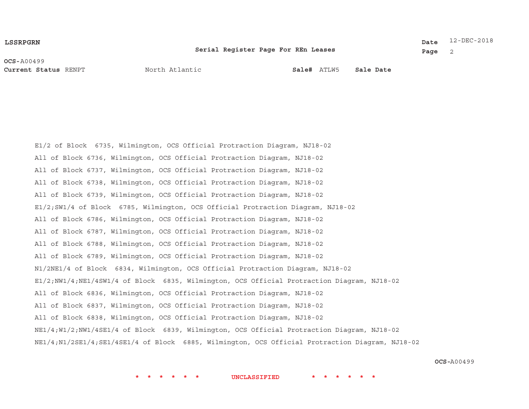#### **LSSRPGRN**

#### **Serial Register Page For REn Leases**

12-DEC-2018**Date**

**Page** 2

**OCS-**A00499**Current Status**

RENPT **Sale#** North Atlantic

ATLW5 **Sale Date**

E1/2 of Block 6735, Wilmington, OCS Official Protraction Diagram, NJ18-02 All of Block 6736, Wilmington, OCS Official Protraction Diagram, NJ18-02 All of Block 6737, Wilmington, OCS Official Protraction Diagram, NJ18-02 All of Block 6738, Wilmington, OCS Official Protraction Diagram, NJ18-02 All of Block 6739, Wilmington, OCS Official Protraction Diagram, NJ18-02 E1/2;SW1/4 of Block 6785, Wilmington, OCS Official Protraction Diagram, NJ18-02 All of Block 6786, Wilmington, OCS Official Protraction Diagram, NJ18-02 All of Block 6787, Wilmington, OCS Official Protraction Diagram, NJ18-02 All of Block 6788, Wilmington, OCS Official Protraction Diagram, NJ18-02 All of Block 6789, Wilmington, OCS Official Protraction Diagram, NJ18-02 N1/2NE1/4 of Block 6834, Wilmington, OCS Official Protraction Diagram, NJ18-02 E1/2;NW1/4;NE1/4SW1/4 of Block 6835, Wilmington, OCS Official Protraction Diagram, NJ18-02 All of Block 6836, Wilmington, OCS Official Protraction Diagram, NJ18-02 All of Block 6837, Wilmington, OCS Official Protraction Diagram, NJ18-02 All of Block 6838, Wilmington, OCS Official Protraction Diagram, NJ18-02 NE1/4;W1/2;NW1/4SE1/4 of Block 6839, Wilmington, OCS Official Protraction Diagram, NJ18-02 NE1/4;N1/2SE1/4;SE1/4SE1/4 of Block 6885, Wilmington, OCS Official Protraction Diagram, NJ18-02

**OCS-**A00499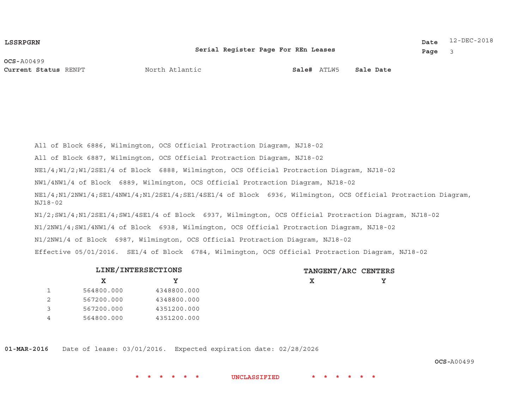#### **LSSRPGRN**

#### **Serial Register Page For REn Leases**

12-DEC-2018**Date**

**Page** 3

**OCS-**A00499**Current Status**

RENPT **Sale#** North Atlantic

ATLW5 **Sale Date**

All of Block 6886, Wilmington, OCS Official Protraction Diagram, NJ18-02 All of Block 6887, Wilmington, OCS Official Protraction Diagram, NJ18-02 NE1/4;W1/2;W1/2SE1/4 of Block 6888, Wilmington, OCS Official Protraction Diagram, NJ18-02 NW1/4NW1/4 of Block 6889, Wilmington, OCS Official Protraction Diagram, NJ18-02 NE1/4;N1/2NW1/4;SE1/4NW1/4;N1/2SE1/4;SE1/4SE1/4 of Block 6936, Wilmington, OCS Official Protraction Diagram, NJ18-02N1/2;SW1/4;N1/2SE1/4;SW1/4SE1/4 of Block 6937, Wilmington, OCS Official Protraction Diagram, NJ18-02 N1/2NW1/4;SW1/4NW1/4 of Block 6938, Wilmington, OCS Official Protraction Diagram, NJ18-02 N1/2NW1/4 of Block 6987, Wilmington, OCS Official Protraction Diagram, NJ18-02 Effective 05/01/2016. SE1/4 of Block 6784, Wilmington, OCS Official Protraction Diagram, NJ18-02

|   | LINE/INTERSECTIONS |             | TANGENT/ARC CENTERS |  |  |
|---|--------------------|-------------|---------------------|--|--|
|   | x.                 |             | х                   |  |  |
|   | 564800.000         | 4348800.000 |                     |  |  |
|   | 567200.000         | 4348800.000 |                     |  |  |
|   | 567200.000         | 4351200.000 |                     |  |  |
| 4 | 564800.000         | 4351200.000 |                     |  |  |

**01-MAR-2016** Date of lease: 03/01/2016. Expected expiration date: 02/28/2026

**OCS-**A00499

**\* \* \* \* \* \* UNCLASSIFIED \* \* \* \* \* \***